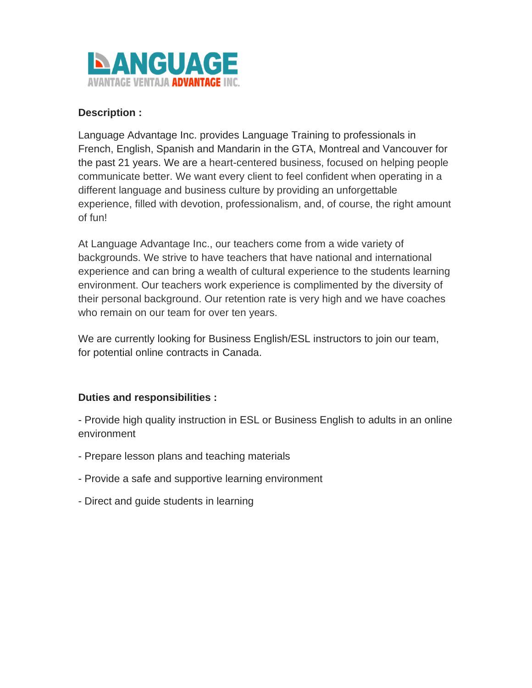

# **Description :**

Language Advantage Inc. provides Language Training to professionals in French, English, Spanish and Mandarin in the GTA, Montreal and Vancouver for the past 21 years. We are a heart-centered business, focused on helping people communicate better. We want every client to feel confident when operating in a different language and business culture by providing an unforgettable experience, filled with devotion, professionalism, and, of course, the right amount of fun!

At Language Advantage Inc., our teachers come from a wide variety of backgrounds. We strive to have teachers that have national and international experience and can bring a wealth of cultural experience to the students learning environment. Our teachers work experience is complimented by the diversity of their personal background. Our retention rate is very high and we have coaches who remain on our team for over ten years.

We are currently looking for Business English/ESL instructors to join our team, for potential online contracts in Canada.

# **Duties and responsibilities :**

- Provide high quality instruction in ESL or Business English to adults in an online environment

- Prepare lesson plans and teaching materials
- Provide a safe and supportive learning environment
- Direct and guide students in learning